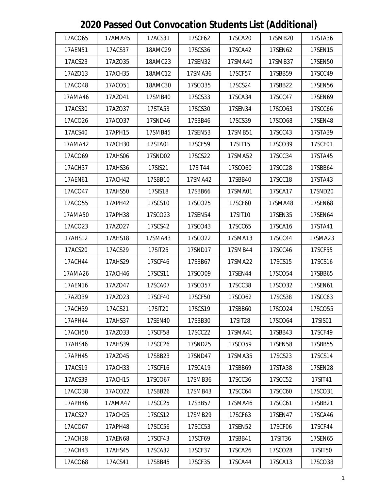| 17ACS31<br>17ACO65<br>17AMA45<br>17SCF62<br>17SCA20<br>17SMB20<br>17STA36<br>18AMC29<br>17AEN51<br>17ACS37<br>17SCS36<br>17SCA42<br>17SEN62<br>17SEN15<br>17ACS23<br>17AZO35<br>18AMC23<br>17SEN32<br>17SMB37<br>17SEN50<br>17SMA40<br>17AZO13<br>17ACH35<br>17SCC49<br>18AMC12<br>17SMA36<br>17SCF57<br>17SBB59<br>17ACO48<br>17ACO51<br>18AMC30<br>17SCO35<br>17SCS24<br>17SBB22<br>17SEN56<br>17AMA46<br>17AZO41<br>17SMB40<br>17SCS33<br>17SCA34<br>17SCC47<br>17SEN69<br>17ACS30<br>17AZO37<br>17STA53<br>17SCS30<br>17SCO63<br>17SCC66<br>17SEN34<br>17ACO37<br>17SND46<br>17SCS39<br>17SEN48<br>17ACO26<br>17SBB46<br>17SCO68<br>17ACS40<br>17SCC43<br>17APH15<br>17SMB45<br>17SEN53<br>17SMB51<br>17STA39<br>17AMA42<br>17ACH30<br>17STA01<br>17SCF59<br>17SIT15<br>17SCO39<br>17SCF01<br>17ACO69<br>17SCC34<br>17AHS06<br>17SND02<br>17SCS22<br>17SMA52<br>17STA45<br>17ACH37<br>17AHS36<br>17SIS21<br>17SIT44<br>17SCO60<br>17SCC28<br>17SBB64<br>17ACH42<br>17SBB10<br>17SCC18<br>17STA43<br>17AEN61<br>17SMA42<br>17SBB40<br>17ACO47<br>17AHS50<br>17SIS18<br>17SCA17<br>17SND20<br>17SBB66<br>17SMA01<br>17APH42<br>17SCS10<br>17SCO25<br>17SMA48<br>17SEN68<br>17ACO55<br>17SCF60<br>17AMA50<br>17SCO23<br>17APH38<br>17SEN54<br>17SIT10<br>17SEN35<br>17SEN64<br>17ACO23<br>17AZO27<br>17SCS42<br>17SCO43<br>17SCC65<br>17SCA16<br>17STA41<br>17AHS12<br>17AHS18<br>17SMA43<br>17SCO22<br>17SMA13<br>17SCC44<br>17SMA23<br>17ACS20<br>17ACS29<br>17SIT25<br>17SND17<br>17SMB44<br>17SCC46<br>17SCF55<br>17AHS29<br>17SCS15<br>17ACH44<br>17SCF46<br>17SBB67<br>17SMA22<br>17SCS16<br>17SCO09<br>17SCO54<br>17AMA26<br>17ACH46<br>17SCS11<br>17SEN44<br>17SBB65<br>17SCA07<br>17AEN16<br>17AZO47<br>17SCO57<br>17SCC38<br>17SCO32<br>17SEN61<br>17AZO39<br>17AZO23<br>17SCF40<br>17SCF50<br>17SCO62<br>17SCS38<br>17SCC63<br>17ACH39<br>17SCO24<br>17ACS21<br>17SIT20<br>17SCS19<br>17SBB60<br>17SCO55<br>17SIS01<br>17APH44<br>17AHS37<br>17SEN40<br>17SBB30<br>17SIT28<br>17SCO64<br>17AZO33<br>17SCF58<br>17SCC22<br>17SMA41<br>17SBB43<br>17SCF49<br>17ACH50<br>17SCC26<br>17SND25<br>17AHS46<br>17AHS39<br>17SCO59<br>17SEN58<br>17SBB55<br>17SCS23<br>17SCS14<br>17APH45<br>17AZO45<br>17SBB23<br>17SND47<br>17SMA35<br>17ACS19<br>17ACH33<br>17SCF16<br>17SCA19<br>17SBB69<br>17STA38<br>17SEN28<br>17ACS39<br>17ACH15<br>17SCO67<br>17SCC36<br>17SCC52<br>17SMB36<br>17SIT41<br>17ACO38<br>17ACO22<br>17SBB26<br>17SMB43<br>17SCC64<br>17SCC60<br>17SCO31<br>17APH46<br>17AMA47<br>17SCC25<br>17SBB57<br>17SMA46<br>17SCC61<br>17SBB21<br>17ACS27<br>17ACH25<br>17SCS12<br>17SMB29<br>17SCF63<br>17SEN47<br>17SCA46<br>17ACO67<br>17SCC56<br>17SCC53<br>17APH48<br>17SEN52<br>17SCF06<br>17SCF44<br>17ACH38<br><b>17AEN68</b><br>17SCF43<br>17SCF69<br>17SBB41<br>17SIT36<br>17SEN65<br>17ACH43<br>17SCA32<br>17SCA26<br>17SIT50<br>17AHS45<br>17SCF37<br>17SCO28<br>17ACS41<br>17ACO68<br>17SBB45<br>17SCF35<br>17SCA44<br>17SCA13<br>17SCO38 |  |  |  |  |
|----------------------------------------------------------------------------------------------------------------------------------------------------------------------------------------------------------------------------------------------------------------------------------------------------------------------------------------------------------------------------------------------------------------------------------------------------------------------------------------------------------------------------------------------------------------------------------------------------------------------------------------------------------------------------------------------------------------------------------------------------------------------------------------------------------------------------------------------------------------------------------------------------------------------------------------------------------------------------------------------------------------------------------------------------------------------------------------------------------------------------------------------------------------------------------------------------------------------------------------------------------------------------------------------------------------------------------------------------------------------------------------------------------------------------------------------------------------------------------------------------------------------------------------------------------------------------------------------------------------------------------------------------------------------------------------------------------------------------------------------------------------------------------------------------------------------------------------------------------------------------------------------------------------------------------------------------------------------------------------------------------------------------------------------------------------------------------------------------------------------------------------------------------------------------------------------------------------------------------------------------------------------------------------------------------------------------------------------------------------------------------------------------------------------------------------------------------------------------------------------------------------------------------------------------------------------------------------------------------------------------------------------------------------------------------------------------------------------------------------------------------------------------------------------------------------------------------------------------------------------------------------------------------------------------------------------------------------------|--|--|--|--|
|                                                                                                                                                                                                                                                                                                                                                                                                                                                                                                                                                                                                                                                                                                                                                                                                                                                                                                                                                                                                                                                                                                                                                                                                                                                                                                                                                                                                                                                                                                                                                                                                                                                                                                                                                                                                                                                                                                                                                                                                                                                                                                                                                                                                                                                                                                                                                                                                                                                                                                                                                                                                                                                                                                                                                                                                                                                                                                                                                                      |  |  |  |  |
|                                                                                                                                                                                                                                                                                                                                                                                                                                                                                                                                                                                                                                                                                                                                                                                                                                                                                                                                                                                                                                                                                                                                                                                                                                                                                                                                                                                                                                                                                                                                                                                                                                                                                                                                                                                                                                                                                                                                                                                                                                                                                                                                                                                                                                                                                                                                                                                                                                                                                                                                                                                                                                                                                                                                                                                                                                                                                                                                                                      |  |  |  |  |
|                                                                                                                                                                                                                                                                                                                                                                                                                                                                                                                                                                                                                                                                                                                                                                                                                                                                                                                                                                                                                                                                                                                                                                                                                                                                                                                                                                                                                                                                                                                                                                                                                                                                                                                                                                                                                                                                                                                                                                                                                                                                                                                                                                                                                                                                                                                                                                                                                                                                                                                                                                                                                                                                                                                                                                                                                                                                                                                                                                      |  |  |  |  |
|                                                                                                                                                                                                                                                                                                                                                                                                                                                                                                                                                                                                                                                                                                                                                                                                                                                                                                                                                                                                                                                                                                                                                                                                                                                                                                                                                                                                                                                                                                                                                                                                                                                                                                                                                                                                                                                                                                                                                                                                                                                                                                                                                                                                                                                                                                                                                                                                                                                                                                                                                                                                                                                                                                                                                                                                                                                                                                                                                                      |  |  |  |  |
|                                                                                                                                                                                                                                                                                                                                                                                                                                                                                                                                                                                                                                                                                                                                                                                                                                                                                                                                                                                                                                                                                                                                                                                                                                                                                                                                                                                                                                                                                                                                                                                                                                                                                                                                                                                                                                                                                                                                                                                                                                                                                                                                                                                                                                                                                                                                                                                                                                                                                                                                                                                                                                                                                                                                                                                                                                                                                                                                                                      |  |  |  |  |
|                                                                                                                                                                                                                                                                                                                                                                                                                                                                                                                                                                                                                                                                                                                                                                                                                                                                                                                                                                                                                                                                                                                                                                                                                                                                                                                                                                                                                                                                                                                                                                                                                                                                                                                                                                                                                                                                                                                                                                                                                                                                                                                                                                                                                                                                                                                                                                                                                                                                                                                                                                                                                                                                                                                                                                                                                                                                                                                                                                      |  |  |  |  |
|                                                                                                                                                                                                                                                                                                                                                                                                                                                                                                                                                                                                                                                                                                                                                                                                                                                                                                                                                                                                                                                                                                                                                                                                                                                                                                                                                                                                                                                                                                                                                                                                                                                                                                                                                                                                                                                                                                                                                                                                                                                                                                                                                                                                                                                                                                                                                                                                                                                                                                                                                                                                                                                                                                                                                                                                                                                                                                                                                                      |  |  |  |  |
|                                                                                                                                                                                                                                                                                                                                                                                                                                                                                                                                                                                                                                                                                                                                                                                                                                                                                                                                                                                                                                                                                                                                                                                                                                                                                                                                                                                                                                                                                                                                                                                                                                                                                                                                                                                                                                                                                                                                                                                                                                                                                                                                                                                                                                                                                                                                                                                                                                                                                                                                                                                                                                                                                                                                                                                                                                                                                                                                                                      |  |  |  |  |
|                                                                                                                                                                                                                                                                                                                                                                                                                                                                                                                                                                                                                                                                                                                                                                                                                                                                                                                                                                                                                                                                                                                                                                                                                                                                                                                                                                                                                                                                                                                                                                                                                                                                                                                                                                                                                                                                                                                                                                                                                                                                                                                                                                                                                                                                                                                                                                                                                                                                                                                                                                                                                                                                                                                                                                                                                                                                                                                                                                      |  |  |  |  |
|                                                                                                                                                                                                                                                                                                                                                                                                                                                                                                                                                                                                                                                                                                                                                                                                                                                                                                                                                                                                                                                                                                                                                                                                                                                                                                                                                                                                                                                                                                                                                                                                                                                                                                                                                                                                                                                                                                                                                                                                                                                                                                                                                                                                                                                                                                                                                                                                                                                                                                                                                                                                                                                                                                                                                                                                                                                                                                                                                                      |  |  |  |  |
|                                                                                                                                                                                                                                                                                                                                                                                                                                                                                                                                                                                                                                                                                                                                                                                                                                                                                                                                                                                                                                                                                                                                                                                                                                                                                                                                                                                                                                                                                                                                                                                                                                                                                                                                                                                                                                                                                                                                                                                                                                                                                                                                                                                                                                                                                                                                                                                                                                                                                                                                                                                                                                                                                                                                                                                                                                                                                                                                                                      |  |  |  |  |
|                                                                                                                                                                                                                                                                                                                                                                                                                                                                                                                                                                                                                                                                                                                                                                                                                                                                                                                                                                                                                                                                                                                                                                                                                                                                                                                                                                                                                                                                                                                                                                                                                                                                                                                                                                                                                                                                                                                                                                                                                                                                                                                                                                                                                                                                                                                                                                                                                                                                                                                                                                                                                                                                                                                                                                                                                                                                                                                                                                      |  |  |  |  |
|                                                                                                                                                                                                                                                                                                                                                                                                                                                                                                                                                                                                                                                                                                                                                                                                                                                                                                                                                                                                                                                                                                                                                                                                                                                                                                                                                                                                                                                                                                                                                                                                                                                                                                                                                                                                                                                                                                                                                                                                                                                                                                                                                                                                                                                                                                                                                                                                                                                                                                                                                                                                                                                                                                                                                                                                                                                                                                                                                                      |  |  |  |  |
|                                                                                                                                                                                                                                                                                                                                                                                                                                                                                                                                                                                                                                                                                                                                                                                                                                                                                                                                                                                                                                                                                                                                                                                                                                                                                                                                                                                                                                                                                                                                                                                                                                                                                                                                                                                                                                                                                                                                                                                                                                                                                                                                                                                                                                                                                                                                                                                                                                                                                                                                                                                                                                                                                                                                                                                                                                                                                                                                                                      |  |  |  |  |
|                                                                                                                                                                                                                                                                                                                                                                                                                                                                                                                                                                                                                                                                                                                                                                                                                                                                                                                                                                                                                                                                                                                                                                                                                                                                                                                                                                                                                                                                                                                                                                                                                                                                                                                                                                                                                                                                                                                                                                                                                                                                                                                                                                                                                                                                                                                                                                                                                                                                                                                                                                                                                                                                                                                                                                                                                                                                                                                                                                      |  |  |  |  |
|                                                                                                                                                                                                                                                                                                                                                                                                                                                                                                                                                                                                                                                                                                                                                                                                                                                                                                                                                                                                                                                                                                                                                                                                                                                                                                                                                                                                                                                                                                                                                                                                                                                                                                                                                                                                                                                                                                                                                                                                                                                                                                                                                                                                                                                                                                                                                                                                                                                                                                                                                                                                                                                                                                                                                                                                                                                                                                                                                                      |  |  |  |  |
|                                                                                                                                                                                                                                                                                                                                                                                                                                                                                                                                                                                                                                                                                                                                                                                                                                                                                                                                                                                                                                                                                                                                                                                                                                                                                                                                                                                                                                                                                                                                                                                                                                                                                                                                                                                                                                                                                                                                                                                                                                                                                                                                                                                                                                                                                                                                                                                                                                                                                                                                                                                                                                                                                                                                                                                                                                                                                                                                                                      |  |  |  |  |
|                                                                                                                                                                                                                                                                                                                                                                                                                                                                                                                                                                                                                                                                                                                                                                                                                                                                                                                                                                                                                                                                                                                                                                                                                                                                                                                                                                                                                                                                                                                                                                                                                                                                                                                                                                                                                                                                                                                                                                                                                                                                                                                                                                                                                                                                                                                                                                                                                                                                                                                                                                                                                                                                                                                                                                                                                                                                                                                                                                      |  |  |  |  |
|                                                                                                                                                                                                                                                                                                                                                                                                                                                                                                                                                                                                                                                                                                                                                                                                                                                                                                                                                                                                                                                                                                                                                                                                                                                                                                                                                                                                                                                                                                                                                                                                                                                                                                                                                                                                                                                                                                                                                                                                                                                                                                                                                                                                                                                                                                                                                                                                                                                                                                                                                                                                                                                                                                                                                                                                                                                                                                                                                                      |  |  |  |  |
|                                                                                                                                                                                                                                                                                                                                                                                                                                                                                                                                                                                                                                                                                                                                                                                                                                                                                                                                                                                                                                                                                                                                                                                                                                                                                                                                                                                                                                                                                                                                                                                                                                                                                                                                                                                                                                                                                                                                                                                                                                                                                                                                                                                                                                                                                                                                                                                                                                                                                                                                                                                                                                                                                                                                                                                                                                                                                                                                                                      |  |  |  |  |
|                                                                                                                                                                                                                                                                                                                                                                                                                                                                                                                                                                                                                                                                                                                                                                                                                                                                                                                                                                                                                                                                                                                                                                                                                                                                                                                                                                                                                                                                                                                                                                                                                                                                                                                                                                                                                                                                                                                                                                                                                                                                                                                                                                                                                                                                                                                                                                                                                                                                                                                                                                                                                                                                                                                                                                                                                                                                                                                                                                      |  |  |  |  |
|                                                                                                                                                                                                                                                                                                                                                                                                                                                                                                                                                                                                                                                                                                                                                                                                                                                                                                                                                                                                                                                                                                                                                                                                                                                                                                                                                                                                                                                                                                                                                                                                                                                                                                                                                                                                                                                                                                                                                                                                                                                                                                                                                                                                                                                                                                                                                                                                                                                                                                                                                                                                                                                                                                                                                                                                                                                                                                                                                                      |  |  |  |  |
|                                                                                                                                                                                                                                                                                                                                                                                                                                                                                                                                                                                                                                                                                                                                                                                                                                                                                                                                                                                                                                                                                                                                                                                                                                                                                                                                                                                                                                                                                                                                                                                                                                                                                                                                                                                                                                                                                                                                                                                                                                                                                                                                                                                                                                                                                                                                                                                                                                                                                                                                                                                                                                                                                                                                                                                                                                                                                                                                                                      |  |  |  |  |
|                                                                                                                                                                                                                                                                                                                                                                                                                                                                                                                                                                                                                                                                                                                                                                                                                                                                                                                                                                                                                                                                                                                                                                                                                                                                                                                                                                                                                                                                                                                                                                                                                                                                                                                                                                                                                                                                                                                                                                                                                                                                                                                                                                                                                                                                                                                                                                                                                                                                                                                                                                                                                                                                                                                                                                                                                                                                                                                                                                      |  |  |  |  |
|                                                                                                                                                                                                                                                                                                                                                                                                                                                                                                                                                                                                                                                                                                                                                                                                                                                                                                                                                                                                                                                                                                                                                                                                                                                                                                                                                                                                                                                                                                                                                                                                                                                                                                                                                                                                                                                                                                                                                                                                                                                                                                                                                                                                                                                                                                                                                                                                                                                                                                                                                                                                                                                                                                                                                                                                                                                                                                                                                                      |  |  |  |  |
|                                                                                                                                                                                                                                                                                                                                                                                                                                                                                                                                                                                                                                                                                                                                                                                                                                                                                                                                                                                                                                                                                                                                                                                                                                                                                                                                                                                                                                                                                                                                                                                                                                                                                                                                                                                                                                                                                                                                                                                                                                                                                                                                                                                                                                                                                                                                                                                                                                                                                                                                                                                                                                                                                                                                                                                                                                                                                                                                                                      |  |  |  |  |
|                                                                                                                                                                                                                                                                                                                                                                                                                                                                                                                                                                                                                                                                                                                                                                                                                                                                                                                                                                                                                                                                                                                                                                                                                                                                                                                                                                                                                                                                                                                                                                                                                                                                                                                                                                                                                                                                                                                                                                                                                                                                                                                                                                                                                                                                                                                                                                                                                                                                                                                                                                                                                                                                                                                                                                                                                                                                                                                                                                      |  |  |  |  |
|                                                                                                                                                                                                                                                                                                                                                                                                                                                                                                                                                                                                                                                                                                                                                                                                                                                                                                                                                                                                                                                                                                                                                                                                                                                                                                                                                                                                                                                                                                                                                                                                                                                                                                                                                                                                                                                                                                                                                                                                                                                                                                                                                                                                                                                                                                                                                                                                                                                                                                                                                                                                                                                                                                                                                                                                                                                                                                                                                                      |  |  |  |  |
|                                                                                                                                                                                                                                                                                                                                                                                                                                                                                                                                                                                                                                                                                                                                                                                                                                                                                                                                                                                                                                                                                                                                                                                                                                                                                                                                                                                                                                                                                                                                                                                                                                                                                                                                                                                                                                                                                                                                                                                                                                                                                                                                                                                                                                                                                                                                                                                                                                                                                                                                                                                                                                                                                                                                                                                                                                                                                                                                                                      |  |  |  |  |
|                                                                                                                                                                                                                                                                                                                                                                                                                                                                                                                                                                                                                                                                                                                                                                                                                                                                                                                                                                                                                                                                                                                                                                                                                                                                                                                                                                                                                                                                                                                                                                                                                                                                                                                                                                                                                                                                                                                                                                                                                                                                                                                                                                                                                                                                                                                                                                                                                                                                                                                                                                                                                                                                                                                                                                                                                                                                                                                                                                      |  |  |  |  |
|                                                                                                                                                                                                                                                                                                                                                                                                                                                                                                                                                                                                                                                                                                                                                                                                                                                                                                                                                                                                                                                                                                                                                                                                                                                                                                                                                                                                                                                                                                                                                                                                                                                                                                                                                                                                                                                                                                                                                                                                                                                                                                                                                                                                                                                                                                                                                                                                                                                                                                                                                                                                                                                                                                                                                                                                                                                                                                                                                                      |  |  |  |  |
|                                                                                                                                                                                                                                                                                                                                                                                                                                                                                                                                                                                                                                                                                                                                                                                                                                                                                                                                                                                                                                                                                                                                                                                                                                                                                                                                                                                                                                                                                                                                                                                                                                                                                                                                                                                                                                                                                                                                                                                                                                                                                                                                                                                                                                                                                                                                                                                                                                                                                                                                                                                                                                                                                                                                                                                                                                                                                                                                                                      |  |  |  |  |
|                                                                                                                                                                                                                                                                                                                                                                                                                                                                                                                                                                                                                                                                                                                                                                                                                                                                                                                                                                                                                                                                                                                                                                                                                                                                                                                                                                                                                                                                                                                                                                                                                                                                                                                                                                                                                                                                                                                                                                                                                                                                                                                                                                                                                                                                                                                                                                                                                                                                                                                                                                                                                                                                                                                                                                                                                                                                                                                                                                      |  |  |  |  |
|                                                                                                                                                                                                                                                                                                                                                                                                                                                                                                                                                                                                                                                                                                                                                                                                                                                                                                                                                                                                                                                                                                                                                                                                                                                                                                                                                                                                                                                                                                                                                                                                                                                                                                                                                                                                                                                                                                                                                                                                                                                                                                                                                                                                                                                                                                                                                                                                                                                                                                                                                                                                                                                                                                                                                                                                                                                                                                                                                                      |  |  |  |  |
|                                                                                                                                                                                                                                                                                                                                                                                                                                                                                                                                                                                                                                                                                                                                                                                                                                                                                                                                                                                                                                                                                                                                                                                                                                                                                                                                                                                                                                                                                                                                                                                                                                                                                                                                                                                                                                                                                                                                                                                                                                                                                                                                                                                                                                                                                                                                                                                                                                                                                                                                                                                                                                                                                                                                                                                                                                                                                                                                                                      |  |  |  |  |
|                                                                                                                                                                                                                                                                                                                                                                                                                                                                                                                                                                                                                                                                                                                                                                                                                                                                                                                                                                                                                                                                                                                                                                                                                                                                                                                                                                                                                                                                                                                                                                                                                                                                                                                                                                                                                                                                                                                                                                                                                                                                                                                                                                                                                                                                                                                                                                                                                                                                                                                                                                                                                                                                                                                                                                                                                                                                                                                                                                      |  |  |  |  |
|                                                                                                                                                                                                                                                                                                                                                                                                                                                                                                                                                                                                                                                                                                                                                                                                                                                                                                                                                                                                                                                                                                                                                                                                                                                                                                                                                                                                                                                                                                                                                                                                                                                                                                                                                                                                                                                                                                                                                                                                                                                                                                                                                                                                                                                                                                                                                                                                                                                                                                                                                                                                                                                                                                                                                                                                                                                                                                                                                                      |  |  |  |  |

## **2020 Passed Out Convocation Students List (Additional)**